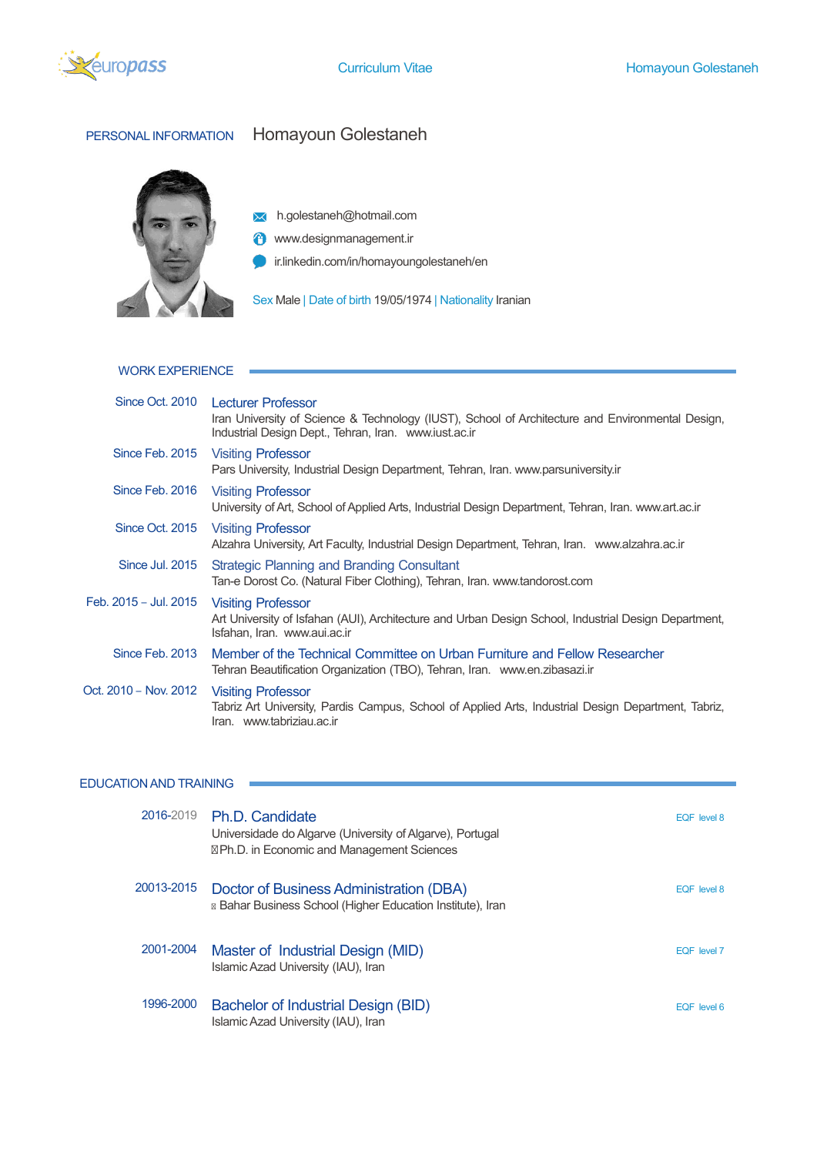

# PERSONAL INFORMATION Homayoun Golestaneh



**X** h.golestaneh@hotmail.com

**<sup>4</sup>** www.designmanagement.ir

ir.linkedin.com/in/homayoungolestaneh/en

Sex Male | Date of birth 19/05/1974 | Nationality Iranian

# WORK EXPERIENCE

×

 $\sim$ 

|                       | Since Oct. 2010 Lecturer Professor<br>Iran University of Science & Technology (IUST), School of Architecture and Environmental Design,<br>Industrial Design Dept., Tehran, Iran. www.iust.ac.ir |
|-----------------------|-------------------------------------------------------------------------------------------------------------------------------------------------------------------------------------------------|
|                       | Since Feb. 2015 Visiting Professor<br>Pars University, Industrial Design Department, Tehran, Iran. www.parsuniversity.ir                                                                        |
| Since Feb. 2016       | <b>Visiting Professor</b><br>University of Art, School of Applied Arts, Industrial Design Department, Tehran, Iran. www.art.ac.ir                                                               |
| Since Oct. 2015       | <b>Visiting Professor</b><br>Alzahra University, Art Faculty, Industrial Design Department, Tehran, Iran. www.alzahra.ac.ir                                                                     |
| Since Jul. 2015       | Strategic Planning and Branding Consultant<br>Tan-e Dorost Co. (Natural Fiber Clothing), Tehran, Iran. www.tandorost.com                                                                        |
| Feb. 2015 - Jul. 2015 | <b>Visiting Professor</b><br>Art University of Isfahan (AUI), Architecture and Urban Design School, Industrial Design Department,<br>Isfahan, Iran. www.aui.ac.ir                               |
| Since Feb. 2013       | Member of the Technical Committee on Urban Furniture and Fellow Researcher<br>Tehran Beautification Organization (TBO), Tehran, Iran. www.en.zibasazi.ir                                        |
| Oct. 2010 - Nov. 2012 | <b>Visiting Professor</b><br>Tabriz Art University, Pardis Campus, School of Applied Arts, Industrial Design Department, Tabriz,<br>Iran. www.tabriziau.ac.ir                                   |

# EDUCATION AND TRAINING

| 2016-2019  | Ph.D. Candidate<br>Universidade do Algarve (University of Algarve), Portugal<br>Ph.D. in Economic and Management Sciences | EQF level 8 |
|------------|---------------------------------------------------------------------------------------------------------------------------|-------------|
| 20013-2015 | Doctor of Business Administration (DBA)<br>Bahar Business School (Higher Education Institute), Iran                       | EQF level 8 |
| 2001-2004  | Master of Industrial Design (MID)<br>Islamic Azad University (IAU), Iran                                                  | EQF level 7 |
| 1996-2000  | Bachelor of Industrial Design (BID)<br>Islamic Azad University (IAU), Iran                                                | EQF level 6 |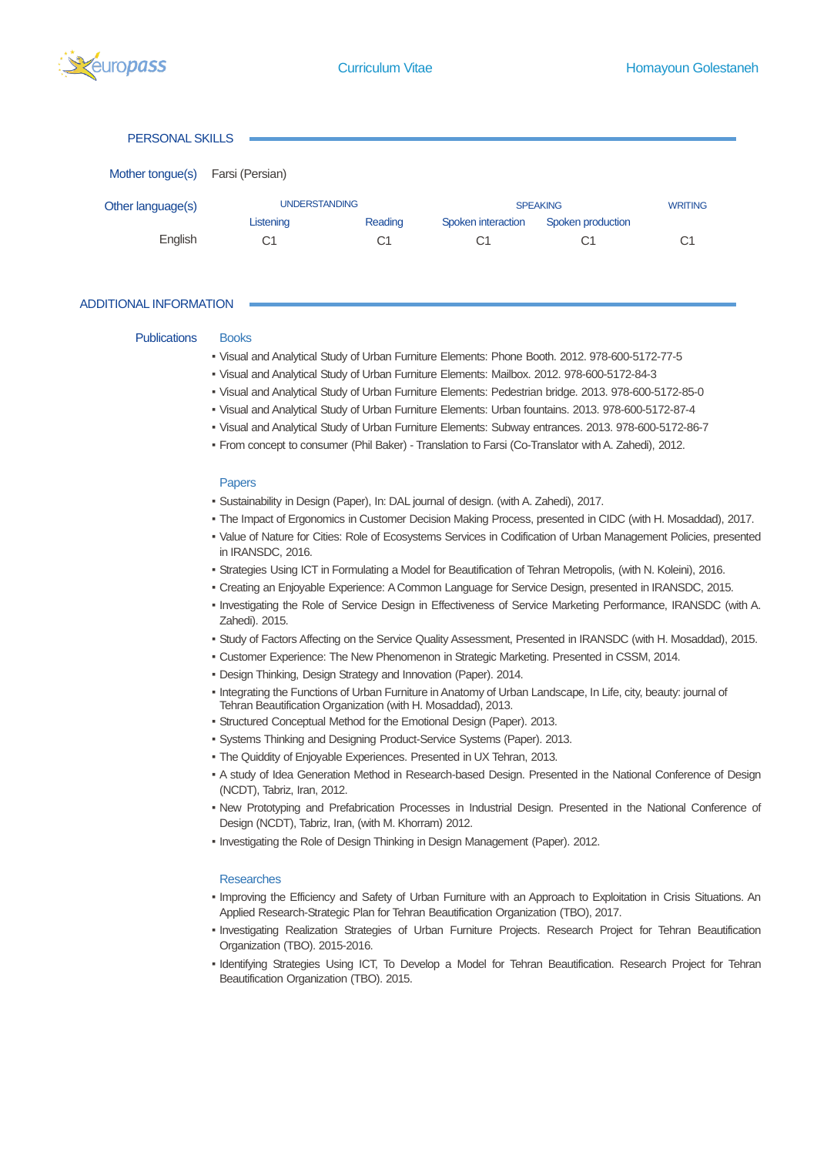

#### PERSONAL SKILLS

| Mother tongue(s)  | Farsi (Persian)      |         |                    |                   |                |
|-------------------|----------------------|---------|--------------------|-------------------|----------------|
| Other language(s) | <b>UNDERSTANDING</b> |         |                    | <b>SPEAKING</b>   | <b>WRITING</b> |
|                   | Listening            | Reading | Spoken interaction | Spoken production |                |
| English           | C1                   | C1      | C1                 |                   | С1             |

#### ADDITIONAL INFORMATION

#### Publications Books

- Visual and Analytical Study of Urban Furniture Elements: Phone Booth. 2012. 978-600-5172-77-5
- Visual and Analytical Study of Urban Furniture Elements: Mailbox. 2012. 978-600-5172-84-3
- Visual and Analytical Study of Urban Furniture Elements: Pedestrian bridge. 2013. 978-600-5172-85-0
- Visual and Analytical Study of Urban Furniture Elements: Urban fountains. 2013. 978-600-5172-87-4
- Visual and Analytical Study of Urban Furniture Elements: Subway entrances. 2013. 978-600-5172-86-7
- From concept to consumer (Phil Baker) Translation to Farsi (Co-Translator with A. Zahedi), 2012.

#### Papers

- Sustainability in Design (Paper), In: DAL journal of design. (with A. Zahedi), 2017.
- The Impact of Ergonomics in Customer Decision Making Process, presented in CIDC (with H. Mosaddad), 2017.
- Value of Nature for Cities: Role of Ecosystems Services in Codification of Urban Management Policies, presented in IRANSDC, 2016.
- Strategies Using ICT in Formulating a Model for Beautification of Tehran Metropolis, (with N. Koleini), 2016.
- Creating an Enjoyable Experience: A Common Language for Service Design, presented in IRANSDC, 2015.
- Investigating the Role of Service Design in Effectiveness of Service Marketing Performance, IRANSDC (with A. Zahedi). 2015.
- Study of Factors Affecting on the Service Quality Assessment, Presented in IRANSDC (with H. Mosaddad), 2015.
- Customer Experience: The New Phenomenon in Strategic Marketing. Presented in CSSM, 2014.
- Design Thinking, Design Strategy and Innovation (Paper). 2014.
- Integrating the Functions of Urban Furniture in Anatomy of Urban Landscape, In Life, city, beauty: journal of Tehran Beautification Organization (with H. Mosaddad), 2013.
- Structured Conceptual Method for the Emotional Design (Paper). 2013.
- Systems Thinking and Designing Product-Service Systems (Paper). 2013.
- The Quiddity of Enjoyable Experiences. Presented in UX Tehran, 2013.
- A study of Idea Generation Method in Research-based Design. Presented in the National Conference of Design (NCDT), Tabriz, Iran, 2012.
- New Prototyping and Prefabrication Processes in Industrial Design. Presented in the National Conference of Design (NCDT), Tabriz, Iran, (with M. Khorram) 2012.
- Investigating the Role of Design Thinking in Design Management (Paper). 2012.

#### Researches

- Improving the Efficiency and Safety of Urban Furniture with an Approach to Exploitation in Crisis Situations. An Applied Research-Strategic Plan for Tehran Beautification Organization (TBO), 2017.
- Investigating Realization Strategies of Urban Furniture Projects. Research Project for Tehran Beautification Organization (TBO). 2015-2016.
- Identifying Strategies Using ICT, To Develop a Model for Tehran Beautification. Research Project for Tehran Beautification Organization (TBO). 2015.